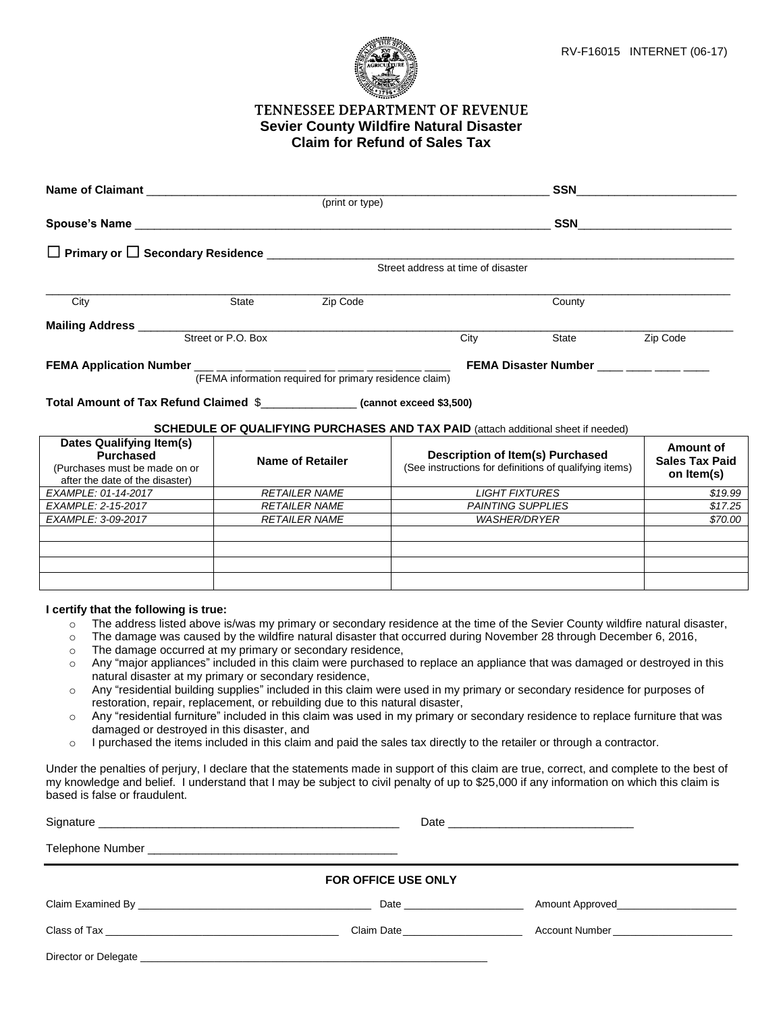

# TENNESSEE DEPARTMENT OF REVENUE **Sevier County Wildfire Natural Disaster Claim for Refund of Sales Tax**

| Name of Claimant and the contract of the contract of the contract of the contract of the contract of the contract of the contract of the contract of the contract of the contract of the contract of the contract of the contr       |                    |                                                         |                                                                                            | <b>SSN</b> |                       |
|--------------------------------------------------------------------------------------------------------------------------------------------------------------------------------------------------------------------------------------|--------------------|---------------------------------------------------------|--------------------------------------------------------------------------------------------|------------|-----------------------|
|                                                                                                                                                                                                                                      |                    | (print or type)                                         |                                                                                            |            |                       |
| Spouse's Name <b>contract the contract of the contract of the contract of the contract of the contract of the contract of the contract of the contract of the contract of the contract of the contract of the contract of the co</b> |                    |                                                         |                                                                                            | SSN        |                       |
|                                                                                                                                                                                                                                      |                    |                                                         |                                                                                            |            |                       |
|                                                                                                                                                                                                                                      |                    |                                                         | Street address at time of disaster                                                         |            |                       |
| City                                                                                                                                                                                                                                 | State              | Zip Code                                                |                                                                                            | County     |                       |
|                                                                                                                                                                                                                                      |                    |                                                         |                                                                                            |            |                       |
|                                                                                                                                                                                                                                      | Street or P.O. Box |                                                         | City                                                                                       | State      | Zip Code              |
| FEMA Application Number ______________________                                                                                                                                                                                       |                    | FEMA Disaster Number ____ ____ ____ ____                |                                                                                            |            |                       |
|                                                                                                                                                                                                                                      |                    | (FEMA information required for primary residence claim) |                                                                                            |            |                       |
| Total Amount of Tax Refund Claimed \$_________________ (cannot exceed \$3,500)                                                                                                                                                       |                    |                                                         |                                                                                            |            |                       |
|                                                                                                                                                                                                                                      |                    |                                                         | SCHEDULE OF QUALIFYING PURCHASES AND TAX PAID (attach additional sheet if needed)          |            |                       |
| Dates Qualifying Item(s)                                                                                                                                                                                                             |                    |                                                         |                                                                                            |            | Amount of             |
| <b>Purchased</b>                                                                                                                                                                                                                     | Name of Retailer   |                                                         | Description of Item(s) Purchased<br>(See instructions for definitions of qualifying items) |            | <b>Sales Tax Paid</b> |
| (Purchases must be made on or<br>after the date of the disaster)                                                                                                                                                                     |                    |                                                         |                                                                                            |            | on Item(s)            |
| EXAMPLE: 01-14-2017                                                                                                                                                                                                                  |                    | <b>RETAILER NAME</b>                                    | <b>LIGHT FIXTURES</b>                                                                      |            | \$19.99               |
| FXAMPLE 2-15-2017                                                                                                                                                                                                                    |                    | RETAILER NAME                                           | PAINTING SHPPHES                                                                           |            | \$1725                |

| EXAMPLE: 2-15-2017 | <i>RETAILER NAME</i> | <b>PAINTING SUPPLIES</b> | \$17.25 |
|--------------------|----------------------|--------------------------|---------|
| EXAMPLE: 3-09-2017 | <b>RETAILER NAME</b> | <b>WASHER/DRYER</b>      | \$70.00 |
|                    |                      |                          |         |
|                    |                      |                          |         |
|                    |                      |                          |         |
|                    |                      |                          |         |
|                    |                      |                          |         |

#### **I certify that the following is true:**

- o The address listed above is/was my primary or secondary residence at the time of the Sevier County wildfire natural disaster,
- o The damage was caused by the wildfire natural disaster that occurred during November 28 through December 6, 2016,
- o The damage occurred at my primary or secondary residence,
- o Any "major appliances" included in this claim were purchased to replace an appliance that was damaged or destroyed in this natural disaster at my primary or secondary residence,
- o Any "residential building supplies" included in this claim were used in my primary or secondary residence for purposes of restoration, repair, replacement, or rebuilding due to this natural disaster,
- o Any "residential furniture" included in this claim was used in my primary or secondary residence to replace furniture that was damaged or destroyed in this disaster, and
- $\circ$  I purchased the items included in this claim and paid the sales tax directly to the retailer or through a contractor.

Under the penalties of perjury, I declare that the statements made in support of this claim are true, correct, and complete to the best of my knowledge and belief. I understand that I may be subject to civil penalty of up to \$25,000 if any information on which this claim is based is false or fraudulent.

| <b>FOR OFFICE USE ONLY</b> |            |                                    |  |  |
|----------------------------|------------|------------------------------------|--|--|
|                            |            | Amount Approved                    |  |  |
| Class of Tax               | Claim Date | <b>Account Number</b> Account 2014 |  |  |
|                            |            |                                    |  |  |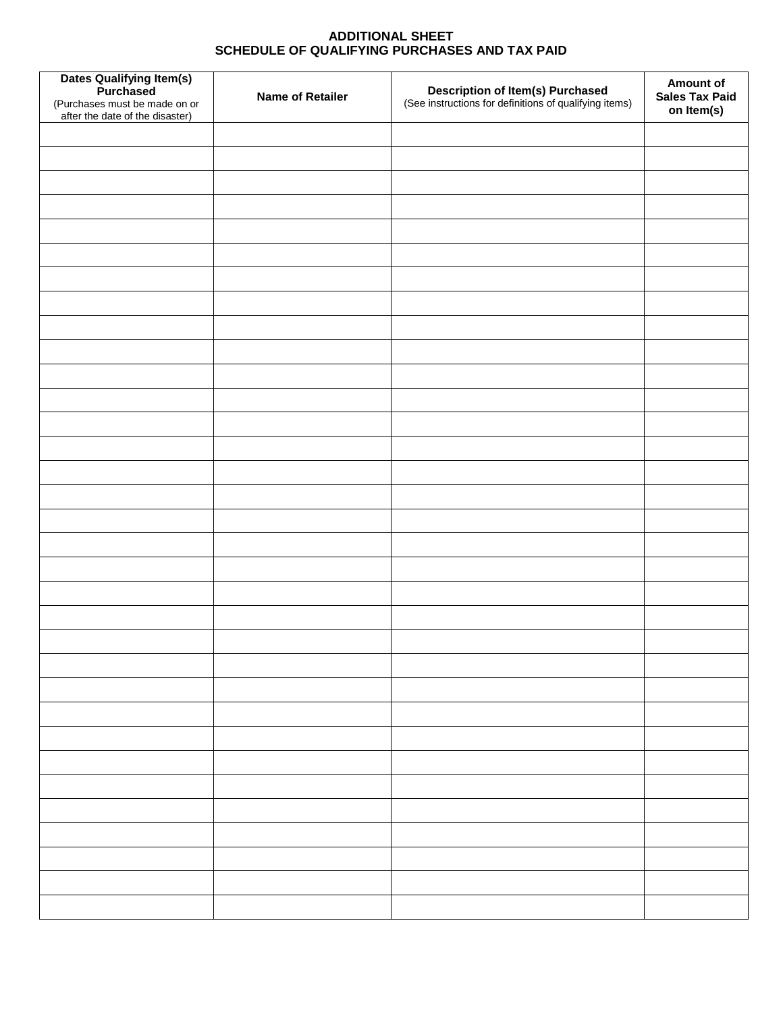# **ADDITIONAL SHEET SCHEDULE OF QUALIFYING PURCHASES AND TAX PAID**

| Dates Qualifying Item(s)<br>Purchased<br>(Purchases must be made on or<br>after the date of the disaster) | <b>Name of Retailer</b> | <b>Description of Item(s) Purchased</b><br>(See instructions for definitions of qualifying items) | Amount of<br><b>Sales Tax Paid</b><br>on Item(s) |
|-----------------------------------------------------------------------------------------------------------|-------------------------|---------------------------------------------------------------------------------------------------|--------------------------------------------------|
|                                                                                                           |                         |                                                                                                   |                                                  |
|                                                                                                           |                         |                                                                                                   |                                                  |
|                                                                                                           |                         |                                                                                                   |                                                  |
|                                                                                                           |                         |                                                                                                   |                                                  |
|                                                                                                           |                         |                                                                                                   |                                                  |
|                                                                                                           |                         |                                                                                                   |                                                  |
|                                                                                                           |                         |                                                                                                   |                                                  |
|                                                                                                           |                         |                                                                                                   |                                                  |
|                                                                                                           |                         |                                                                                                   |                                                  |
|                                                                                                           |                         |                                                                                                   |                                                  |
|                                                                                                           |                         |                                                                                                   |                                                  |
|                                                                                                           |                         |                                                                                                   |                                                  |
|                                                                                                           |                         |                                                                                                   |                                                  |
|                                                                                                           |                         |                                                                                                   |                                                  |
|                                                                                                           |                         |                                                                                                   |                                                  |
|                                                                                                           |                         |                                                                                                   |                                                  |
|                                                                                                           |                         |                                                                                                   |                                                  |
|                                                                                                           |                         |                                                                                                   |                                                  |
|                                                                                                           |                         |                                                                                                   |                                                  |
|                                                                                                           |                         |                                                                                                   |                                                  |
|                                                                                                           |                         |                                                                                                   |                                                  |
|                                                                                                           |                         |                                                                                                   |                                                  |
|                                                                                                           |                         |                                                                                                   |                                                  |
|                                                                                                           |                         |                                                                                                   |                                                  |
|                                                                                                           |                         |                                                                                                   |                                                  |
|                                                                                                           |                         |                                                                                                   |                                                  |
|                                                                                                           |                         |                                                                                                   |                                                  |
|                                                                                                           |                         |                                                                                                   |                                                  |
|                                                                                                           |                         |                                                                                                   |                                                  |
|                                                                                                           |                         |                                                                                                   |                                                  |
|                                                                                                           |                         |                                                                                                   |                                                  |
|                                                                                                           |                         |                                                                                                   |                                                  |
|                                                                                                           |                         |                                                                                                   |                                                  |